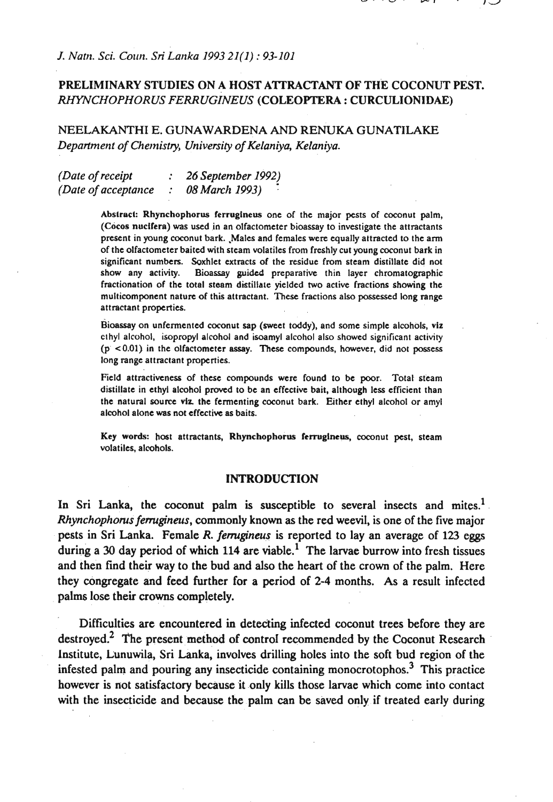## **PRELIMINARY STUDIES ON A HOST A'ITRACTANT OF THE COCONUT PEST.**  *RHYNCHOPHOR US FERR UGZNEUS* **(COLEOPTERA** : **CURCULIONIDAE)**

**NEELAKANTHI E. GUNAWARDENA AND RENUKA GUNATILAKE**  *Department of Chemistry, University of Kelaniya, Kelaniya.* 

| (Date of receipt     | $: 26$ September 1992) |
|----------------------|------------------------|
| (Date of acceptance) | 08 March 1993)<br>٠    |

Abstract: Rhynchophorus ferrugineus one of the major pests of coconut palm, (Cocos nucifera) was used in an olfactometer bioassay to investigate the attractants present in young coconut bark. Males and females were equally attracted to the arm of the olfactometer baited with steam volatiles from freshly cut young coconut bark in significant numbers. Soxhlet extracts of the residue from steam distillate did not show any activity. Bioassay guided preparative thin layer chromatographic fractionation of the total steam distillate yielded two active fractions showing the multicomponent nature of this attractant. These fractions also possessed long range attractant properties.

Bioassay on unfermented coconut sap (sweet toddy), and some simple alcohols, viz clhyl alcohol, isopropyl alcohol and isoamyl alcohol also showed significant activity (p **<0.01)** in the olfactometer assay. These compounds, however, did not possess long range attractant properties.

Field attractiveness of these compounds were found to be poor. Total steam distillate in ethyl alcohol proved to be an effective bait, although less efficient than the natural source viz. the fermenting coconut bark. Either ethyl alcohol or amyl alcohol alone was not effective as baits.

Key words: host attractants, Rhynchophorus fermgineus, coconut pest, steam volatiles, alcohols.

#### **INTRODUCTION**

In Sri Lanka, the coconut palm is susceptible to several insects and mites.<sup>1</sup> *Rhynchophoms fernginas,* commonly known as the red weevil, is one of the five major pests in Sri Lanka. Female R. *femgineus* is reported to lay an average of 123 eggs during a 30 day period of which **114** are viable.' The larvae burrow into fresh tissues and then find their way to the bud and also the heart of the crown of the palm. Here they congregate and feed further for a period of **2-4** months. As a result infected palms lose their crowns completely.

Difficulties are encountered in detecting infected coconut trees before they are destroyed.<sup>2</sup> The present method of control recommended by the Coconut Research Institute, Lunuwila, Sri Lanka, involves drilling holes into the soft bud region of the infested palm and pouring any insecticide containing monocrotophos.3 This practice however is not satisfactory because it only kills those larvae which come into contact with the insecticide and because the palm can be saved only if treated early during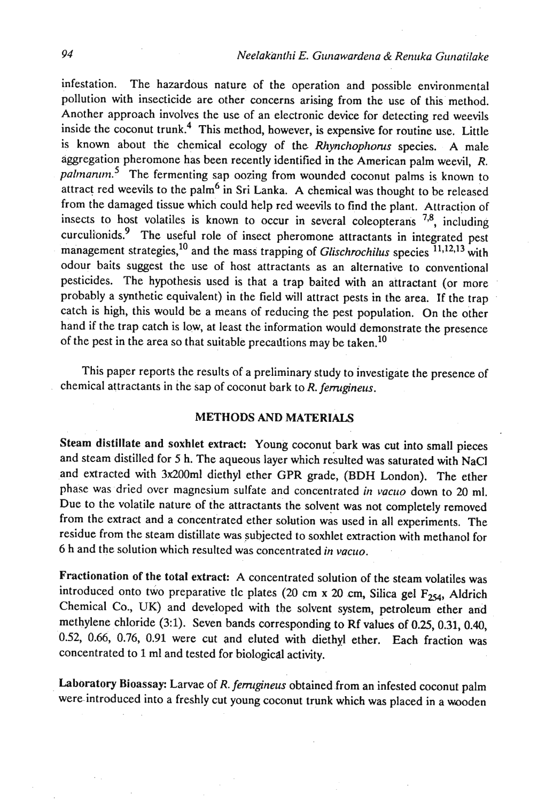infestation. The hazardous nature of the operation and possible environmental pollution with insecticide are other concerns arising from the use of this method. Another approach involves the use of an electronic device for detecting red weevils inside the coconut trunk.4 This method, however, is expensive for routine use. Little is known about the chemical ecology of the *Rhynchophorus* species. A male aggregation pheromone has been recently identified in the American palm weevil, R. *palmanum*<sup>5</sup> The fermenting sap oozing from wounded coconut palms is known to attract red weevils to the palm6 in Sri Lanka. **A** chemical was thought to be released from the damaged tissue which could help red weevils to find the plant. Attraction of insects to host volatiles is known to occur in several coleopterans **7B,** including curculionids? The useful role of insect pheromone attractants in integrated pest management strategies,<sup>10</sup> and the mass trapping of *Glischrochilus* species <sup>11,12,13</sup> with odour baits suggest the use of host attractants as an alternative to conventional pesticides. The hypothesis used is that a trap baited with an attractant (or more probably a synthetic equivalent) in the field will attract pests in the area. If the trap catch is high, this would be a means of reducing the pest population. On the other hand if the trap catch is low, at least the information would demonstrate the presence of the pest in the area so that suitable precadtions may be taken.<sup>10</sup>

This paper reports the results of a preliminary study to investigate the presence of chemical attractants in the sap of coconut bark to R. *femrgineus.* 

#### METHODS AND MATERIALS

Steam distillate and soxhlet extract: Young coconut bark was cut into small pieces and steam distilled for 5 h. The aqueous layer which resulted was saturated with NaCl and extracted with 3x200ml diethyl ether GPR grade, (BDH London). The ether phase was dried over magnesium sulfate and concentrated *in vacuo* down to 20 ml. Due to the volatile nature of the attractants the solvent was not completely removed from the extract and a concentrated ether solution was used in all experiments. The residue from the steam distillate was subjected to soxhlet extraction with methanol for 6 h and the solution which resulted was concentrated *in vacuo*.

Fractionation of the total extract: A concentrated solution of the steam volatiles was introduced onto two preparative tlc plates (20 cm  $x$  20 cm, Silica gel  $F_{254}$ , Aldrich Chemical Co., **UK)** and developed with the solvent system, petroleum ether arid methylene chloride (3:1). Seven bands corresponding to Rf values of 0.25, 0.31, 0.40, 0.52, 0.66, 0.76, 0.91 were cut and eluted with diethyl ether. Each fraction was concentrated to 1 ml and tested for biological activity.

Laboratory Bioassay: Larvae of R. ferrugineus obtained from an infested coconut palm were.introduced into a freshly cut young coconut trunk which was placed in a wooden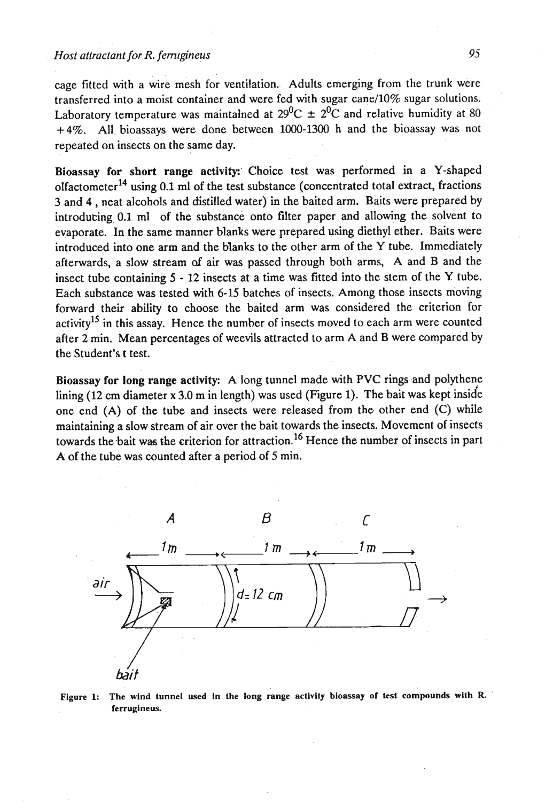cage fitted with a wire mesh for ventilation. Adults emerging from the trunk were transferred into a moist container and were fed with sugar cane/10% sugar solutions. Laboratory temperature was maintalned at  $29^0C \pm 2^0C$  and relative humidity at 80 **+4%.** All bioassays were done between 1000-1300 h and the bioassay was not repeated on insects on the same day.

Bioassay for short range activity: Choice test was performed in a Y-shaped olfactometer14 using **0.1** ml of the test substance (concentrated total extract, fractions 3 and 4 , neat alcohols and distilled water) in the baited arm. Baits were prepared by introducing 0.1 ml of the substance onto filter paper and allowing the solvent to evaporate. In the same manner blanks were prepared using diethyl ether. Baits were introduced into one arm and the blanks to the other arm of the Y tube. Immediately afterwards, a slow stream **of** air was passed through both arms, A and B and the insect tube containing 5 - **12** insects at a time was fitted into the stem of the **Y** tube. Each substance was tested with 6-15 batches of insects. Among those insects moving forward their ability to choose the baited arm was considered the criterion for activity<sup>15</sup> in this assay. Hence the number of insects moved to each arm were counted after **2** min. Mean percentages of weevils attracted to arm A and B were compared by the Student's t test.

Bioassay for long range activity: A long tunnel made with PVC rings and polythene lining (12 cm diameter **x** 3.0 m in length) was used (Figure 1). The bait was kept inside one end (A) of the tube and insects were released from the other end (C) while maintaining a slow stream of air over the bait towards the insects. Movement of insects towards the bait was the criterion for attraction.<sup>16</sup> Hence the number of insects in part A of the tube was counted after a period of 5 min.



**Figure 1: The wind tunnel used In the long range activity bioassay or iest compounds, with R.** ' ferrugineus.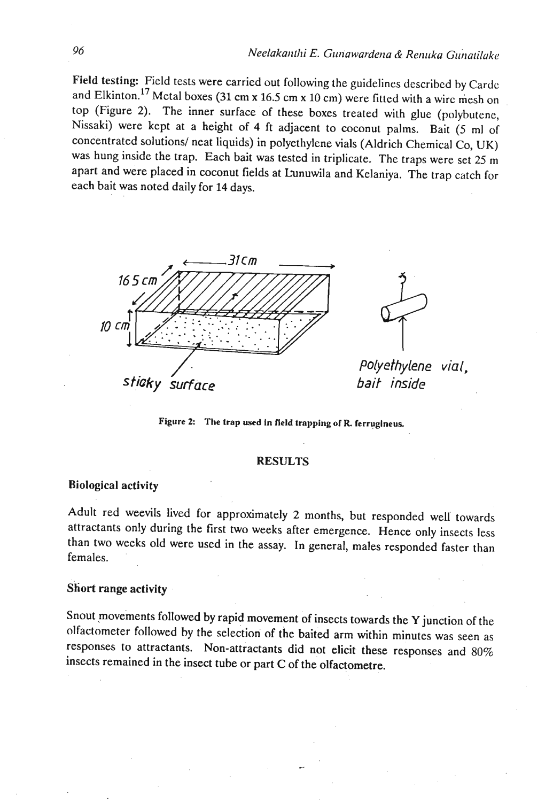Field testing: Field tests were carried out following the guidelines described by Cardc and Elkinton.<sup>17</sup> Metal boxes (31 cm x 16.5 cm x 10 cm) were fitted with a wirc mesh on top (Figure 2). The inner surface of these boxes treated with glue (polybutene, Nissaki) were kept at a height of 4 ft adjacent to coconut palms. Bait (5 ml of concentrated solutions/ neat liquids) in polyethylene vials (Aldrich Chemical Co, UK) was hung inside the trap. Each bait was tested in triplicate. The traps were set 25 m apart and were placed in coconut fields at Lunuwila and Kelaniya. The trap catch for each bait was noted daily for 14 days.



**Figure 2: The trap used in field trnppingof R ferrugineus.** 

#### RESULTS

### Biological activity

Adult red weevils lived for approximately 2 months, but responded well towards attractants only during the first two weeks after emergence. Hence only insects less than two weeks old were used in the assay. In general, males responded faster than females.

#### Short range activity

Snout movements followed by rapid movement of insects towards the Y junction of the olfactorneter followed by the selection of the baited arm within minutes was seen as responses to attractants. Non-attractants did not elicit these responses and 80% insects remained in the insect tube or part C of the olfactometre.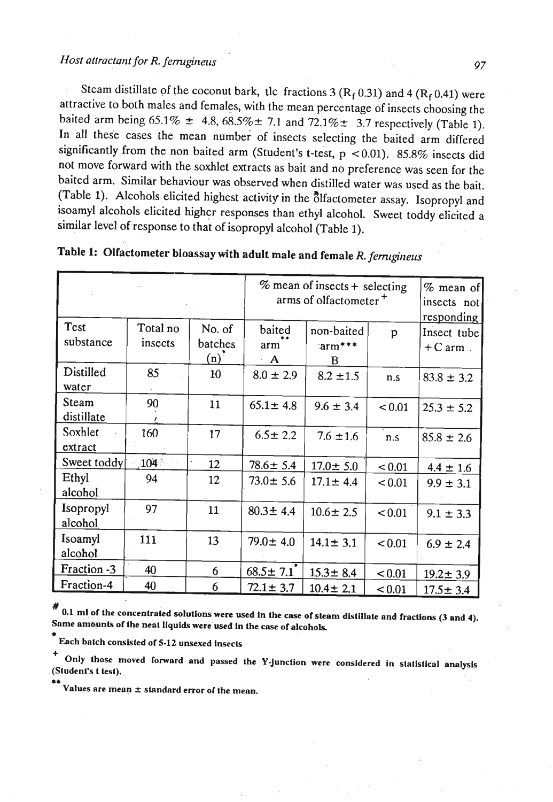# *Host attractant for R. ferrugineus 97 97*

Steam distillate of the coconut bark, tlc fractions 3 ( $R_f$  0.31) and 4 ( $R_f$  0.41) were attractive to both males and females, with the mean percentage of insects choosing the baited arm being  $65.1\% \pm 4.8, 68.5\% \pm 7.1$  and  $72.1\% \pm 3.7$  respectively (Table 1). In all these cases the mean number of insects selecting the baited arm differed significantly from the non baited arm (Student's t-test,  $p \ge 0.01$ ). 85.8% insects did not move forward with the soxhlet extracts as bait and no preference was seen for the baited arm. Similar behaviour was observed when distilled water was used as the bait. (Table 1). Alcohols elicited highest activity in the olfactometer assay. Isopropyl and isoamyl alcohols elicited higher responses than ethyl alcohol. Sweet toddy elicited a similar level of response to that of isopropyl alcohol (Table 1).

|                          |                     |                                | $%$ mean of insects + selecting<br>arms of olfactometer <sup>+</sup> |                                     |        | $%$ mean of<br>insects not<br>responding |
|--------------------------|---------------------|--------------------------------|----------------------------------------------------------------------|-------------------------------------|--------|------------------------------------------|
| <b>Test</b><br>substance | Total no<br>insects | No. of<br>batches<br>$(n)^{2}$ | baited<br>arm<br>A                                                   | non-baited<br>$\text{Iarm***}$<br>B | p      | Insect tube<br>$+C$ arm                  |
| Distilled<br>water       | 85                  | 10                             | $8.0 \pm 2.9$                                                        | $8.2 \pm 1.5$                       | n.s    | $83.8 \pm 3.2$                           |
| Steam<br>distillate      | 90                  | 11                             | $65.1 \pm 4.8$                                                       | $9.6 \pm 3.4$                       | < 0.01 | $25.3 \pm 5.2$                           |
| Soxhlet<br>extract       | 160                 | 17                             | $6.5 \pm 2.2$                                                        | $7.6 \pm 1.6$                       | n.s    | $85.8 \pm 2.6$                           |
| Sweet toddy              | 104 <sup>3</sup>    | 12                             | $78.6 \pm 5.4$                                                       | $17.0 \pm 5.0$                      | < 0.01 | $4.4 \pm 1.6$                            |
| Ethyl<br>alcohol         | 94                  | 12                             | $73.0 \pm 5.6$                                                       | $17.1 \pm 4.4$                      | < 0.01 | $9.9 \pm 3.1$                            |
| Isopropyl<br>alcohol     | 97                  | 11                             | $80.3 \pm 4.4$                                                       | $10.6 \pm 2.5$                      | < 0.01 | $9.1 \pm 3.3$                            |
| Isoamyl<br>alcohol       | 111                 | 13                             | $79.0 \pm 4.0$                                                       | $14.1 \pm 3.1$                      | < 0.01 | $6.9 \pm 2.4$                            |
| Fraction -3              | 40                  | 6                              | $68.5 \pm 7.1$                                                       | $15.3 \pm 8.4$                      | < 0.01 | $19.2 \pm 3.9$                           |
| Fraction-4               | 40                  | 6                              | $72.1 \pm 3.7$                                                       | $10.4 \pm 2.1$                      | < 0.01 | $17.5 \pm 3.4$                           |

|  | Table 1: Olfactometer bioassay with adult male and female R. ferrugineus |  |
|--|--------------------------------------------------------------------------|--|
|--|--------------------------------------------------------------------------|--|

# **0.1 mlof the concentrakd solutions were used in the cqse of steam distillate and fractions (3 and 4). Same ambunts of the nenl liquids were'used In the case of alcohols,** 

**Each batch consisted of5-12 unsexed insects** 

Only those moved forward and passed the Y-junction were considered in statistical analysis **(Student's t test).** \*\*

**Values are mean 2 standnrd error or the menn.**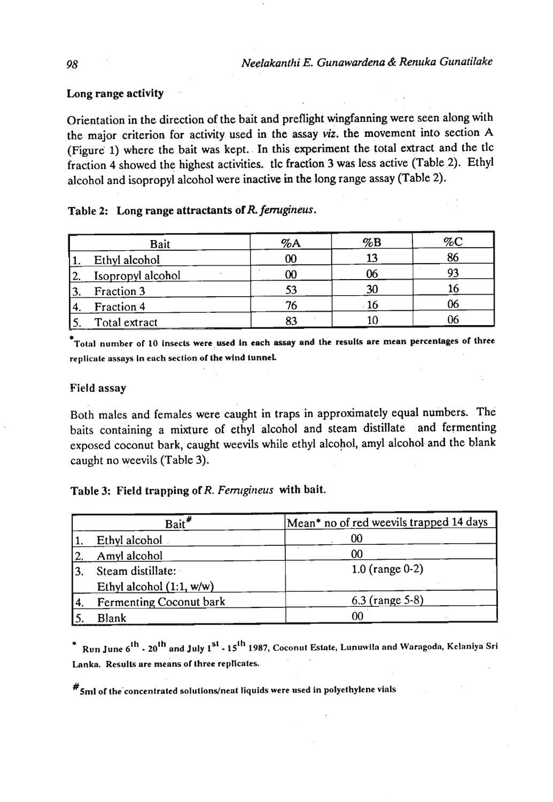## Long range activity

Orientation in the direction of the bait and preflight wingfanning were seen along with the major criterion for activity used in the assay **viz.** the movement into section A (Figure 1) where the bait was kept. In this experiment the total extract and the tlc fraction 4 showed the highest activities. tlc fraction 3 was less active (Table 2). Ethyl alcohol and isopropyl alcohol were inactive in the long range assay (Table 2).

## Table 2: Long range attractants of R. ferrugineus.

| Bait              | %A     | $\%B$ | $\%C$ |
|-------------------|--------|-------|-------|
| Ethyl alcohol     |        |       | 86    |
| Isopropyl alcohol | $00\,$ |       |       |
| Fraction 3        |        |       |       |
| Fraction 4        |        |       |       |
| Total extract     |        |       |       |

Tolal number of 10 Insects were used in each **assay** and the **results** are mean percenlnges of three replicate assays in each section of the wind tunnel.

## Field assay

Both males and females were caught in traps in approximately equal numbers. The baits containing a mixture of ethyl alcohol and steam distillate and fermenting exposed coconut bark, caught weevils while ethyl alcohol, amyl alcohol and the blank caught no weevils (Table 3).

Table 3: Field trapping of *R. Ferrugineus* with bait.

| Bait <sup>*</sup>              | Mean* no of red weevils trapped 14 days |
|--------------------------------|-----------------------------------------|
| Ethyl alcohol                  | 00                                      |
| Amyl alcohol                   | 00                                      |
| Steam distillate:              | 1.0 (range $0-2$ )                      |
| Ethyl alcohol $(1:1, w/w)$     |                                         |
| <b>Fermenting Coconut bark</b> | 6.3 (range 5-8)                         |
| <b>Blank</b>                   | າດ                                      |

Run June 6<sup>th</sup> - 20<sup>th</sup> and July 1<sup>st</sup> - 15<sup>th</sup> 1987, Coconut Estate, Lunuwila and Waragoda, Kelaniya Sri Lanka. Results are means of three replicates.

 $\#$  5ml of the concentrated solutions/neat liquids were used in polyethylene vials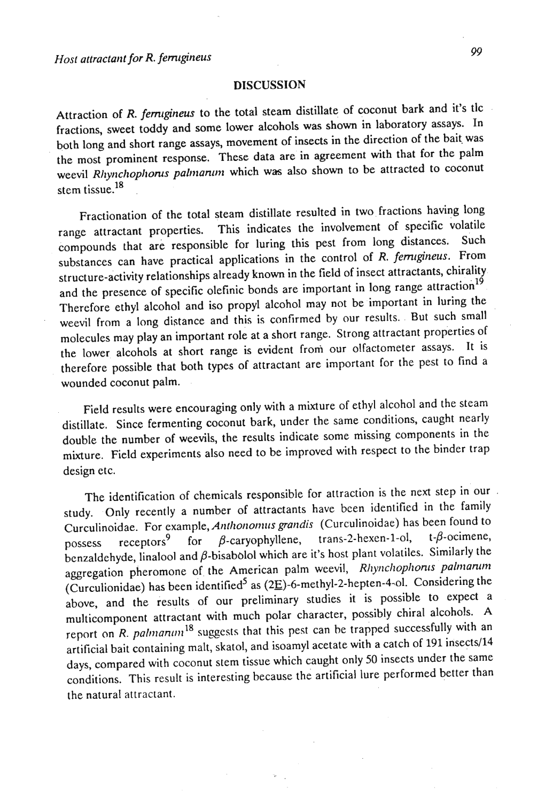#### **DISCUSSION**

Attraction of R. *femigineus* to the total steam distillate of coconut bark and it's tlc fractions, sweet toddy and some lower alcohols was shown in laboratory assays. In both long and short range assays, movement of insects in the direction of the bait was the most prominent response. These data are in agreement with that for the palm weevil *Rhynchophorus palmarum* which was also shown to be attracted to coconut stem tissue. **<sup>18</sup>**

Fractionation of the total steam distillate resulted in two fractions having long range attractant properties. This indicates the involvement of specific volatile compounds that are responsible for luring this pest from long distances. Such substances can have practical applications in the control of R. *ferrugineus*. From structure-activity relationships already known in the field of insect attractants, chirality and the presence of specific olefinic bonds are important in long range attraction<sup>19</sup> Therefore ethyl alcohol and iso propyl alcohol may not be important in luring the weevil from a long distance and this is confirmed by our results. But such small molecules may play an important role at a short range. Strong attractant properties of the lower alcohols at short range is evident from our olfactometer assays. It is therefore possible that both types of attractant are important for the pest to find a wounded coconut palm.

Field results were encouraging only with a mixture of ethyl alcohol and the steam distillate. Since fermenting coconut bark, under the same conditions, caught nearly double the number of weevils, the results indicate some missing components in the  $\frac{m}{\sqrt{m}}$  Field experiments also need to be improved with respect to the binder trap  $\frac{1}{2}$ 

The identification of chemicals responsible for attraction is the next step in our study. Only recently a number of attractants have bcen identified in the family Curculinoidae. For example, *Aitfhoitolltlrs grartdis* (Curculinoidae) has been found to  $\frac{1}{2}$  receptors<sup>9</sup> for *B*-caryophyllene, trans-2-hexen-1-ol, t- $\beta$ -ocimene, possess receptors<sup>9</sup> for  $\beta$ -caryophyllene, trans-2-hexen-1-ol, t- $\beta$ -ocimene, benzaldehyde, linalool and  $\beta$ -bisabolol which are it's host plant volatiles. Similarly the aggregation pheromone of the American palm weevil, *Rhynchophonts palmantm* (Curculionidae) has been identified5 as **(2E)-6-methyl-2-hepten-4-01.** Considering the above, and the results of our preliminary studies it is possible to expect a multicomponent attractant with much polar character, possibly chiral alcohols. A report on R. *palmanum*<sup>18</sup> suggests that this pest can be trapped successfully with an artificial bait containing malt, skatol, and isoamyl acetate with a catch of 191 insects/14 days, compared with coconut stem tissue which caught only 50 insects under the same days, compared with eccentral conditions. the natural attractant.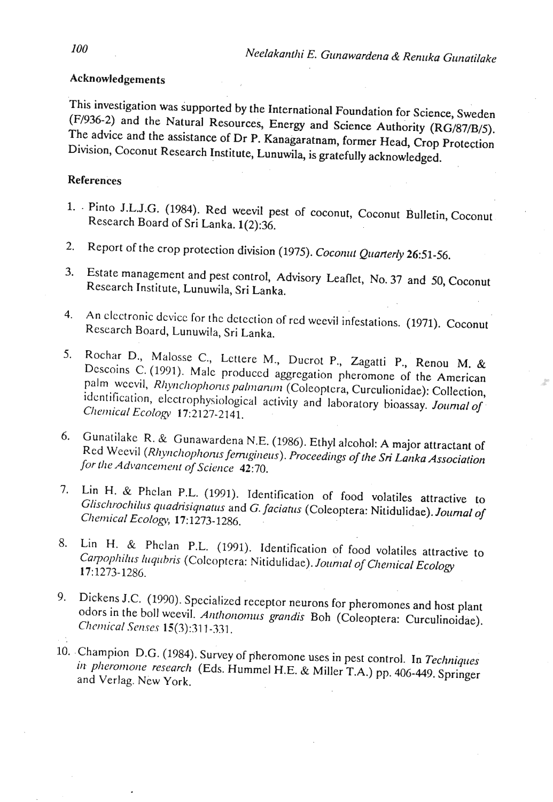## Acknowledgements

This investigation was supported by the International Foundation for Science, Sweden (F/936-2) and the Natural Resources, Energy and Science Authority (RG/87/B/5). The advice and the assistance of Dr P. Kanagaratnam, former Head, Crop Protection Division, Coconut Research Institute, Lunuwila, is gratefully acknowledged.

## **References**

- 1. Pinto J.L.J.G. (1984). Red weevil pest of coconut, Coconut Bulletin, Coconut Research Board of Sri Lanka. 1(2):36.
- Report of the crop protection division (1975). Coconut Quarterly 26:51-56.  $2.$
- Estate management and pest control, Advisory Leaflet, No. 37 and 50, Coconut  $3.$ Research Institute, Lunuwila, Sri Lanka.
- An electronic device for the detection of red weevil infestations. (1971). Coconut  $4.$ Research Board, Lunuwila, Sri Lanka.
- Rochar D., Malosse C., Lettere M., Ducrot P., Zagatti P., Renou M. & 5. Descoins C. (1991). Male produced aggregation pheromone of the American palm weevil, Rhynchophorus palmanum (Coleoptera, Curculionidae): Collection, identification, electrophysiological activity and laboratory bioassay. Journal of Chemical Ecology 17:2127-2141.
- 6. Gunatilake R. & Gunawardena N.E. (1986). Ethyl alcohol: A major attractant of Red Weevil (Rhynchophonts ferrugineus). Proceedings of the Sri Lanka Association for the Advancement of Science 42:70.
- Lin H. & Phelan P.L. (1991). Identification of food volatiles attractive to 7. Glischrochilus quadrisiquatus and G. faciatus (Coleoptera: Nitidulidae). Journal of Chemical Ecology, 17:1273-1286.
- Lin H. & Phelan P.L. (1991). Identification of food volatiles attractive to 8. Carpophilus luqubris (Colcoptera: Nitidulidae). Journal of Chemical Ecology 17:1273-1286.
- 9. Dickens J.C. (1990). Specialized receptor neurons for pheromones and host plant odors in the boll weevil. Anthonomus grandis Boh (Coleoptera: Curculinoidae). Chemical Senses 15(3):311-331.
- 10. Champion D.G. (1984). Survey of pheromone uses in pest control. In Techniques in pheromone research (Eds. Hummel H.E. & Miller T.A.) pp. 406-449. Springer and Verlag. New York.